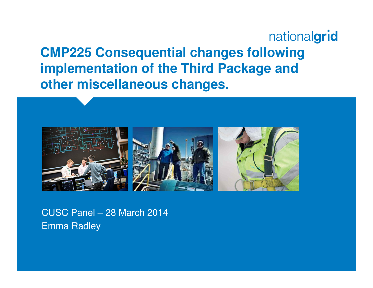nationalgrid **CMP225 Consequential changes following implementation of the Third Package and other miscellaneous changes.**



CUSC Panel – 28 March 2014Emma Radley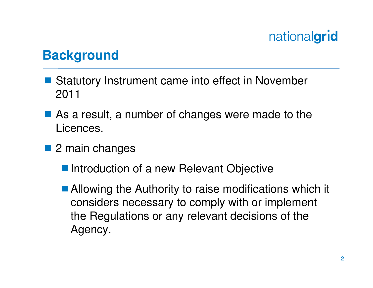### **Background**

- Statutory Instrument came into effect in November<br>2011 2011
- As a result, a number of changes were made to the Licences.
- 2 main changes
	- **Introduction of a new Relevant Objective**
	- Allowing the Authority to raise modifications which it considers necessary to comply with or implement the Regulations or any relevant decisions of the Agency.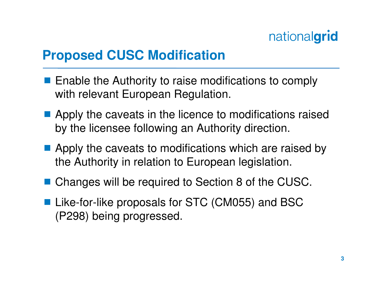### **Proposed CUSC Modification**

- **Enable the Authority to raise modifications to comply**<br>with relevant European Bequlation with relevant European Regulation.
- Apply the caveats in the licence to modifications raised<br>hy the license following an Authority direction by the licensee following an Authority direction.
- Apply the caveats to modifications which are raised by<br>the Authority in relation to European logislation the Authority in relation to European legislation.
- Changes will be required to Section 8 of the CUSC.
- Like-for-like proposals for STC (CM055) and BSC<br>(P298) boing progressed (P298) being progressed.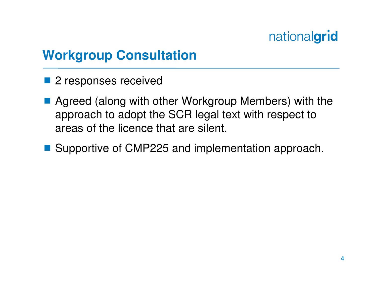## **Workgroup Consultation**

- 2 responses received
- Agreed (along with other Workgroup Members) with the<br>approach to adopt the SCR logal toxt with respect to approach to adopt the SCR legal text with respect to areas of the licence that are silent.
- Supportive of CMP225 and implementation approach.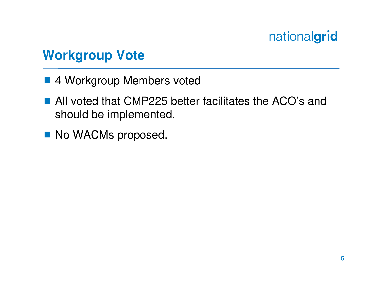## **Workgroup Vote**

- 4 Workgroup Members voted
- All voted that CMP225 better facilitates the ACO's and<br>should be implemented should be implemented.
- No WACMs proposed.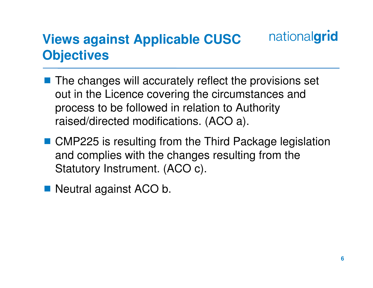#### nationalgrid **Views against Applicable CUSC Objectives**

- The changes will accurately reflect the provisions set out in the Licence covering the circumstances and process to be followed in relation to Authority raised/directed modifications. (ACO a).
- CMP225 is resulting from the Third Package legislation and complies with the changes resulting from the Statutory Instrument. (ACO c).
- Neutral against ACO b.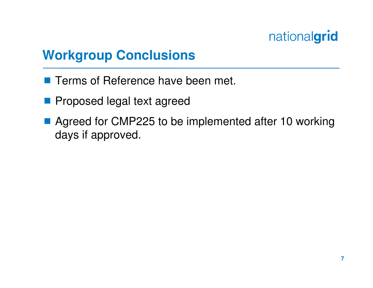### **Workgroup Conclusions**

- **Terms of Reference have been met.**
- **Proposed legal text agreed**
- Agreed for CMP225 to be implemented after 10 working days if approved.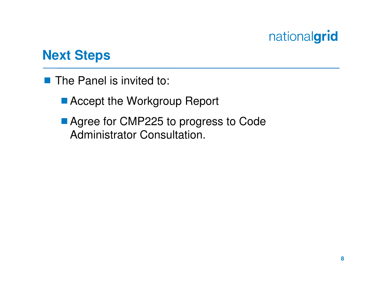### **Next Steps**

- The Panel is invited to:
	- Accept the Workgroup Report
	- Agree for CMP225 to progress to Code Administrator Consultation.